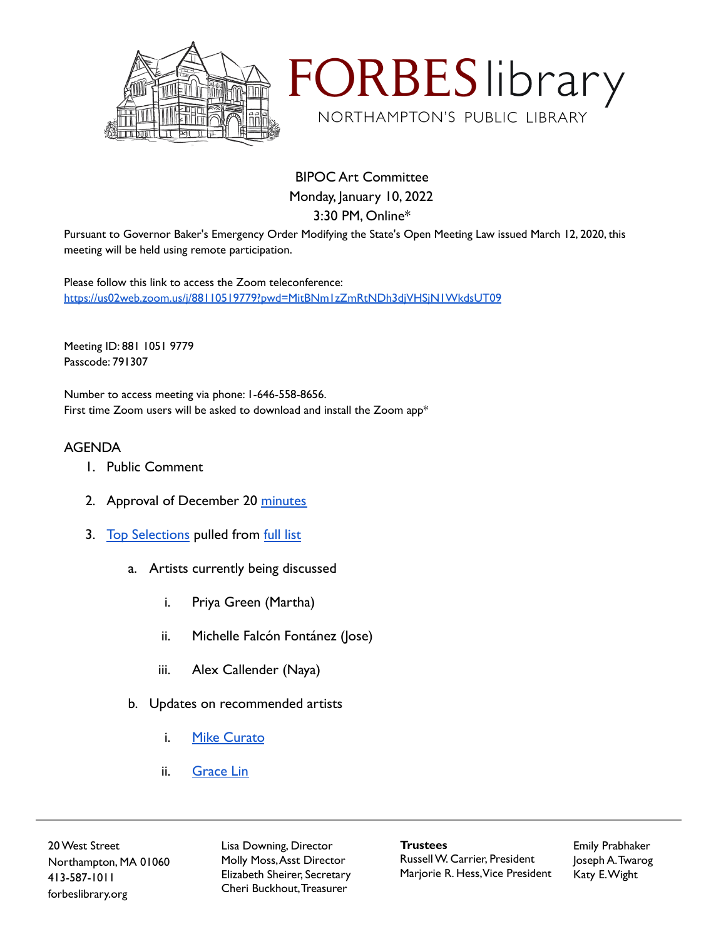



BIPOC Art Committee Monday, January 10, 2022 3:30 PM, Online\*

Pursuant to Governor Baker's Emergency Order Modifying the State's Open Meeting Law issued March 12, 2020, this meeting will be held using remote participation.

Please follow this link to access the Zoom teleconference: <https://us02web.zoom.us/j/88110519779?pwd=MitBNm1zZmRtNDh3djVHSjN1WkdsUT09>

Meeting ID: 881 1051 9779 Passcode: 791307

Number to access meeting via phone: 1-646-558-8656. First time Zoom users will be asked to download and install the Zoom app\*

## AGENDA

- 1. Public Comment
- 2. Approval of December 20 [minutes](https://docs.google.com/document/d/1W0geKXOHqbEgGRySfzO9us9FlPPKhTrcUROVLsf5QmQ/edit?usp=sharing)
- 3. [Top Selections](https://docs.google.com/spreadsheets/d/1UggUf-B16EUQaBNDX--siZzcb1do4Q9_-FpAnkKZdzs/edit?usp=sharing) pulled from [full list](https://docs.google.com/spreadsheets/d/1ALorfdGD0jgQ8Cded-Faht4xh7-2vxMhBSFssT1TTxM/edit?usp=sharing)
	- a. Artists currently being discussed
		- i. Priya Green (Martha)
		- ii. Michelle Falcón Fontánez (Jose)
		- iii. Alex Callender (Naya)
	- b. Updates on recommended artists
		- i. [Mike Curato](https://docs.google.com/document/d/1HFgatD7KdTjqZWXeYWS54woQGXV4Dpryvm8T_nwAbws/edit)
		- ii. [Grace Lin](https://www.rmichelson.com/illustration/grace-lin/a-big-bed-for-little-snow/bbfls-cover-11x15_5/)

20West Street Northampton, MA 01060 413-587-1011 forbeslibrary.org

Lisa Downing, Director Molly Moss,Asst Director Elizabeth Sheirer, Secretary Cheri Buckhout,Treasurer

**Trustees** RussellW. Carrier, President Marjorie R. Hess,Vice President Emily Prabhaker Joseph A.Twarog Katy E.Wight